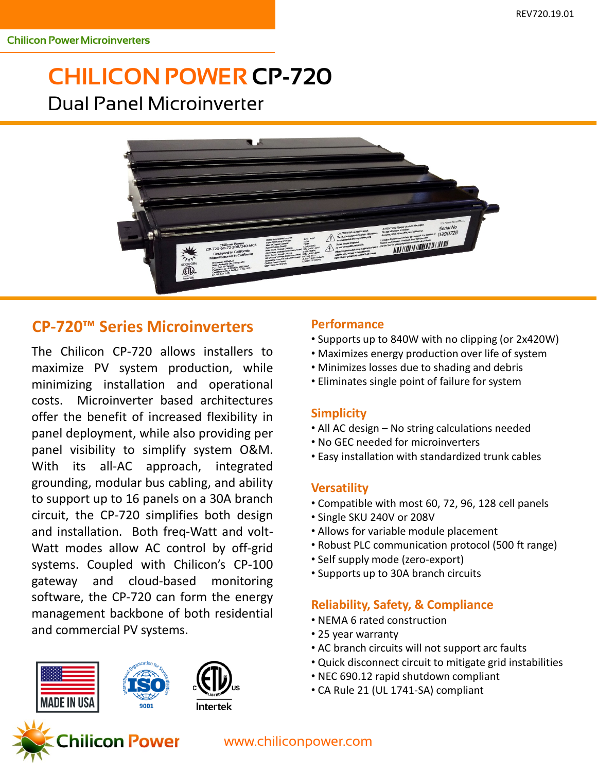# **CHILICON POWER CP-720** Dual Panel Microinverter



### **CP-720™ Series Microinverters**

The Chilicon CP-720 allows installers to maximize PV system production, while minimizing installation and operational costs. Microinverter based architectures offer the benefit of increased flexibility in panel deployment, while also providing per panel visibility to simplify system O&M. With its all-AC approach, integrated grounding, modular bus cabling, and ability to support up to 16 panels on a 30A branch circuit, the CP-720 simplifies both design and installation. Both freq-Watt and volt-Watt modes allow AC control by off-grid systems. Coupled with Chilicon's CP-100 gateway and cloud-based monitoring software, the CP-720 can form the energy management backbone of both residential and commercial PV systems.

# MADE IN USA

#### **Performance**

- Supports up to 840W with no clipping (or 2x420W)
- Maximizes energy production over life of system
- Minimizes losses due to shading and debris
- Eliminates single point of failure for system

#### **Simplicity**

- All AC design No string calculations needed
- No GEC needed for microinverters
- Easy installation with standardized trunk cables

#### **Versatility**

- Compatible with most 60, 72, 96, 128 cell panels
- Single SKU 240V or 208V
- Allows for variable module placement
- Robust PLC communication protocol (500 ft range)
- Self supply mode (zero-export)
- Supports up to 30A branch circuits

#### **Reliability, Safety, & Compliance**

- NEMA 6 rated construction
- 25 year warranty
- AC branch circuits will not support arc faults
- Quick disconnect circuit to mitigate grid instabilities
- NEC 690.12 rapid shutdown compliant
- CA Rule 21 (UL 1741-SA) compliant



#### www.chiliconpower.com